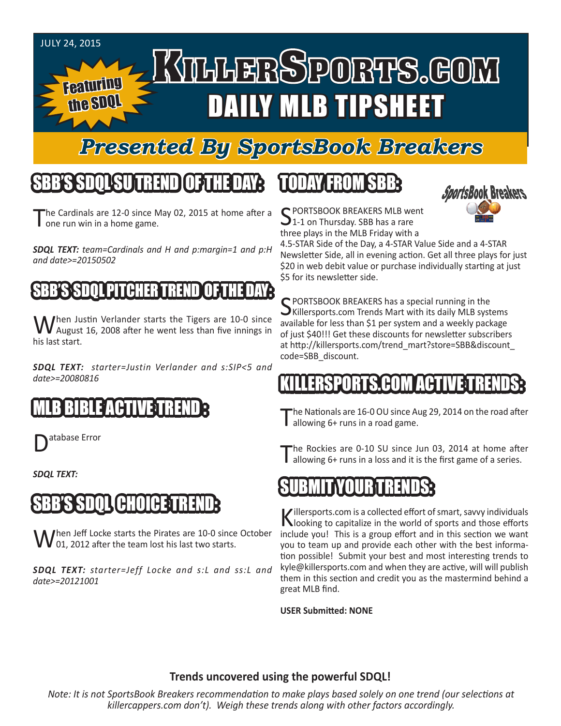#### JULY 24, 2015

Featuring

the SDQL

# KILLERSPORTS.GOM DAILY MLB TIPSHEET

### *Presented By SportsBook Breakers*

#### SBB'S SDQLSU TREND OF THE DAY:

he Cardinals are 12-0 since May 02, 2015 at home after a one run win in a home game.

*SDQL TEXT: team=Cardinals and H and p:margin=1 and p:H and date>=20150502*

#### BESSON

When Justin Verlander starts the Tigers are 10-0 since<br>
Maugust 16, 2008 after he went less than five innings in his last start.

*SDQL TEXT: starter=Justin Verlander and s:SIP<5 and date>=20080816*

#### MLB BIBLE ACTIVE TREND :

atabase Error

*SDQL TEXT:* 

#### SBB'S SDQL CHOICE TREND:

hen Jeff Locke starts the Pirates are 10-0 since October  $\big($  01, 2012 after the team lost his last two starts.

*SDQL TEXT: starter=Jeff Locke and s:L and ss:L and date>=20121001*

### TODAY FROM SBB:



C PORTSBOOK BREAKERS MLB went  $1-1$  on Thursday. SBB has a rare three plays in the MLB Friday with a

4.5-STAR Side of the Day, a 4-STAR Value Side and a 4-STAR Newsletter Side, all in evening action. Get all three plays for just \$20 in web debit value or purchase individually starting at just \$5 for its newsletter side.

SPORTSBOOK BREAKERS has a special running in the<br>SKillersports.com Trends Mart with its daily MLB systems available for less than \$1 per system and a weekly package of just \$40!!! Get these discounts for newsletter subscribers at http://killersports.com/trend\_mart?store=SBB&discount\_ code=SBB\_discount.

### RIS HUM ACT

he Nationals are 16-0 OU since Aug 29, 2014 on the road after allowing 6+ runs in a road game.

The Rockies are 0-10 SU since Jun 03, 2014 at home after allowing 6+ runs in a loss and it is the first game of a series.

#### SUBMIT YOUR TRENDS:

Killersports.com is a collected effort of smart, savvy individuals<br>Nooking to capitalize in the world of sports and those efforts include you! This is a group effort and in this section we want you to team up and provide each other with the best information possible! Submit your best and most interesting trends to kyle@killersports.com and when they are active, will will publish them in this section and credit you as the mastermind behind a great MLB find.

**USER Submitted: NONE**

#### **Trends uncovered using the powerful SDQL!**

*Note: It is not SportsBook Breakers recommendation to make plays based solely on one trend (our selections at killercappers.com don't). Weigh these trends along with other factors accordingly.*